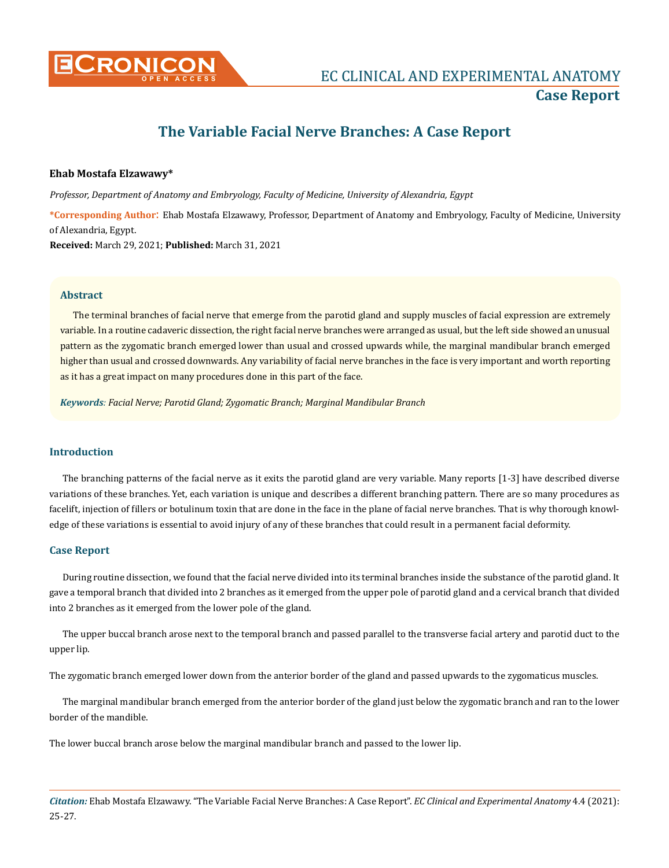

# **The Variable Facial Nerve Branches: A Case Report**

#### **Ehab Mostafa Elzawawy\***

*Professor, Department of Anatomy and Embryology, Faculty of Medicine, University of Alexandria, Egypt*

**\*Corresponding Author**: Ehab Mostafa Elzawawy, Professor, Department of Anatomy and Embryology, Faculty of Medicine, University of Alexandria, Egypt.

**Received:** March 29, 2021; **Published:** March 31, 2021

#### **Abstract**

The terminal branches of facial nerve that emerge from the parotid gland and supply muscles of facial expression are extremely variable. In a routine cadaveric dissection, the right facial nerve branches were arranged as usual, but the left side showed an unusual pattern as the zygomatic branch emerged lower than usual and crossed upwards while, the marginal mandibular branch emerged higher than usual and crossed downwards. Any variability of facial nerve branches in the face is very important and worth reporting as it has a great impact on many procedures done in this part of the face.

*Keywords: Facial Nerve; Parotid Gland; Zygomatic Branch; Marginal Mandibular Branch*

## **Introduction**

The branching patterns of the facial nerve as it exits the parotid gland are very variable. Many reports [1-3] have described diverse variations of these branches. Yet, each variation is unique and describes a different branching pattern. There are so many procedures as facelift, injection of fillers or botulinum toxin that are done in the face in the plane of facial nerve branches. That is why thorough knowledge of these variations is essential to avoid injury of any of these branches that could result in a permanent facial deformity.

#### **Case Report**

During routine dissection, we found that the facial nerve divided into its terminal branches inside the substance of the parotid gland. It gave a temporal branch that divided into 2 branches as it emerged from the upper pole of parotid gland and a cervical branch that divided into 2 branches as it emerged from the lower pole of the gland.

The upper buccal branch arose next to the temporal branch and passed parallel to the transverse facial artery and parotid duct to the upper lip.

The zygomatic branch emerged lower down from the anterior border of the gland and passed upwards to the zygomaticus muscles.

The marginal mandibular branch emerged from the anterior border of the gland just below the zygomatic branch and ran to the lower border of the mandible.

The lower buccal branch arose below the marginal mandibular branch and passed to the lower lip.

*Citation:* Ehab Mostafa Elzawawy. "The Variable Facial Nerve Branches: A Case Report". *EC Clinical and Experimental Anatomy* 4.4 (2021): 25-27.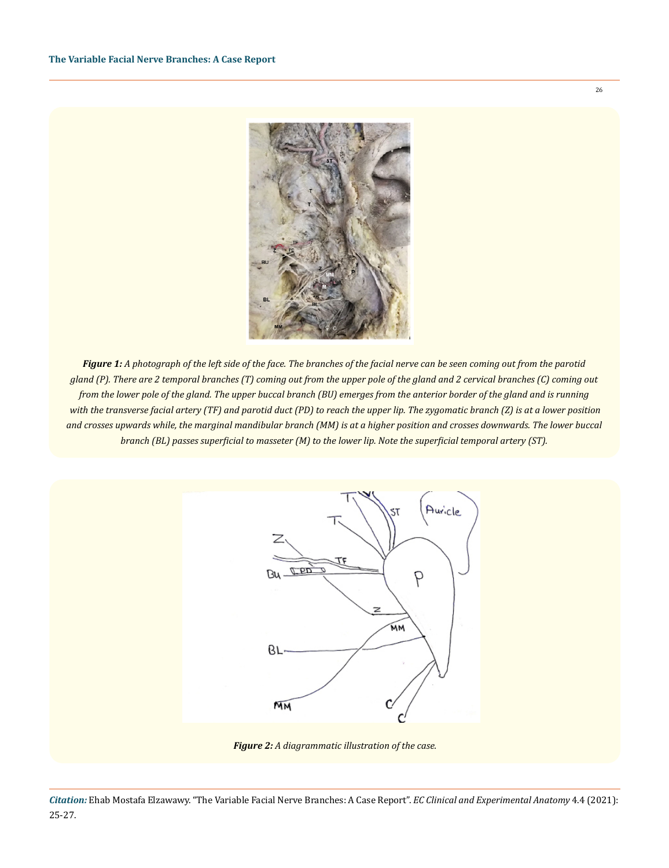

*Figure 1: A photograph of the left side of the face. The branches of the facial nerve can be seen coming out from the parotid gland (P). There are 2 temporal branches (T) coming out from the upper pole of the gland and 2 cervical branches (C) coming out from the lower pole of the gland. The upper buccal branch (BU) emerges from the anterior border of the gland and is running with the transverse facial artery (TF) and parotid duct (PD) to reach the upper lip. The zygomatic branch (Z) is at a lower position and crosses upwards while, the marginal mandibular branch (MM) is at a higher position and crosses downwards. The lower buccal branch (BL) passes superficial to masseter (M) to the lower lip. Note the superficial temporal artery (ST).* 



*Figure 2: A diagrammatic illustration of the case.*

26